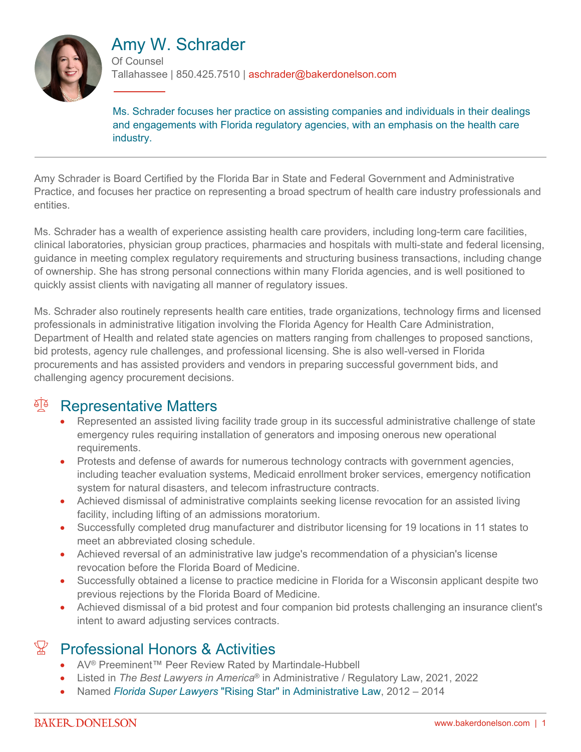

# Amy W. Schrader

Of Counsel Tallahassee | 850.425.7510 | aschrader@bakerdonelson.com

Ms. Schrader focuses her practice on assisting companies and individuals in their dealings and engagements with Florida regulatory agencies, with an emphasis on the health care industry.

Amy Schrader is Board Certified by the Florida Bar in State and Federal Government and Administrative Practice, and focuses her practice on representing a broad spectrum of health care industry professionals and entities.

Ms. Schrader has a wealth of experience assisting health care providers, including long-term care facilities, clinical laboratories, physician group practices, pharmacies and hospitals with multi-state and federal licensing, guidance in meeting complex regulatory requirements and structuring business transactions, including change of ownership. She has strong personal connections within many Florida agencies, and is well positioned to quickly assist clients with navigating all manner of regulatory issues.

Ms. Schrader also routinely represents health care entities, trade organizations, technology firms and licensed professionals in administrative litigation involving the Florida Agency for Health Care Administration, Department of Health and related state agencies on matters ranging from challenges to proposed sanctions, bid protests, agency rule challenges, and professional licensing. She is also well-versed in Florida procurements and has assisted providers and vendors in preparing successful government bids, and challenging agency procurement decisions.

### <sup>A</sup> Representative Matters

- Represented an assisted living facility trade group in its successful administrative challenge of state emergency rules requiring installation of generators and imposing onerous new operational requirements.
- Protests and defense of awards for numerous technology contracts with government agencies, including teacher evaluation systems, Medicaid enrollment broker services, emergency notification system for natural disasters, and telecom infrastructure contracts.
- Achieved dismissal of administrative complaints seeking license revocation for an assisted living facility, including lifting of an admissions moratorium.
- Successfully completed drug manufacturer and distributor licensing for 19 locations in 11 states to meet an abbreviated closing schedule.
- Achieved reversal of an administrative law judge's recommendation of a physician's license revocation before the Florida Board of Medicine.
- Successfully obtained a license to practice medicine in Florida for a Wisconsin applicant despite two previous rejections by the Florida Board of Medicine.
- Achieved dismissal of a bid protest and four companion bid protests challenging an insurance client's intent to award adjusting services contracts.

## Professional Honors & Activities

- AV<sup>®</sup> Preeminent™ Peer Review Rated by Martindale-Hubbell
- Listed in *The Best Lawyers in America*® in Administrative / Regulatory Law, 2021, 2022
- Named *Florida Super Lawyers* ["Rising Star" in Administrative Law,](http://profiles.superlawyers.com/florida/tallahassee/lawyer/amy-w-schrader/bffcbae9-c348-4896-88bb-2cd8e574b885.html) 2012 2014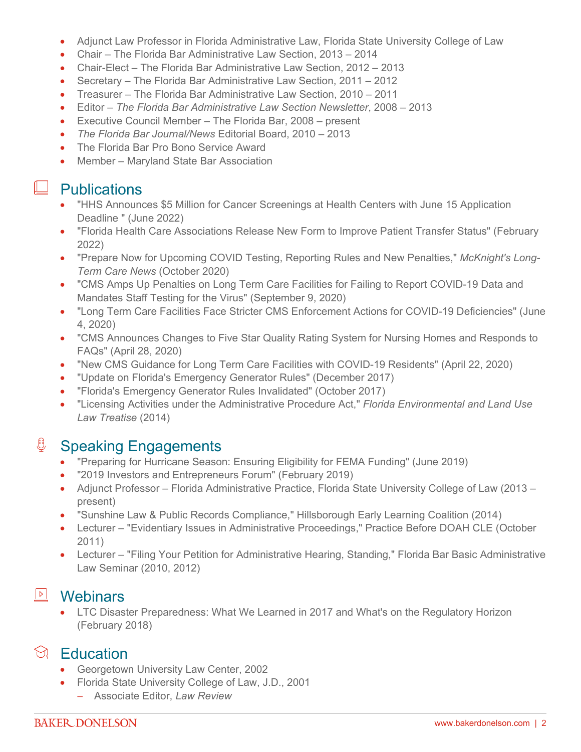- Adjunct Law Professor in Florida Administrative Law, Florida State University College of Law
- Chair The Florida Bar Administrative Law Section, 2013 2014
- Chair-Elect The Florida Bar Administrative Law Section, 2012 2013
- Secretary The Florida Bar Administrative Law Section, 2011 2012
- Treasurer The Florida Bar Administrative Law Section, 2010 2011
- Editor *The Florida Bar Administrative Law Section Newsletter*, 2008 2013
- Executive Council Member The Florida Bar, 2008 present
- *The Florida Bar Journal/News* Editorial Board, 2010 2013
- The Florida Bar Pro Bono Service Award
- Member Maryland State Bar Association

### $\perp$  Publications

- "HHS Announces \$5 Million for Cancer Screenings at Health Centers with June 15 Application Deadline " (June 2022)
- "Florida Health Care Associations Release New Form to Improve Patient Transfer Status" (February 2022)
- "Prepare Now for Upcoming COVID Testing, Reporting Rules and New Penalties," *McKnight's Long-Term Care News* (October 2020)
- "CMS Amps Up Penalties on Long Term Care Facilities for Failing to Report COVID-19 Data and Mandates Staff Testing for the Virus" (September 9, 2020)
- "Long Term Care Facilities Face Stricter CMS Enforcement Actions for COVID-19 Deficiencies" (June 4, 2020)
- "CMS Announces Changes to Five Star Quality Rating System for Nursing Homes and Responds to FAQs" (April 28, 2020)
- "New CMS Guidance for Long Term Care Facilities with COVID-19 Residents" (April 22, 2020)
- "Update on Florida's Emergency Generator Rules" (December 2017)
- "Florida's Emergency Generator Rules Invalidated" (October 2017)
- "Licensing Activities under the Administrative Procedure Act," *Florida Environmental and Land Use Law Treatise* (2014)

#### € Speaking Engagements

- "Preparing for Hurricane Season: Ensuring Eligibility for FEMA Funding" (June 2019)
- "2019 Investors and Entrepreneurs Forum" (February 2019)
- Adjunct Professor Florida Administrative Practice, Florida State University College of Law (2013 present)
- "Sunshine Law & Public Records Compliance," Hillsborough Early Learning Coalition (2014)
- Lecturer "Evidentiary Issues in Administrative Proceedings," Practice Before DOAH CLE (October 2011)
- Lecturer "Filing Your Petition for Administrative Hearing, Standing," Florida Bar Basic Administrative Law Seminar (2010, 2012)

### **Nebinars**

• LTC Disaster Preparedness: What We Learned in 2017 and What's on the Regulatory Horizon (February 2018)

### $\Im$  Education

- Georgetown University Law Center, 2002
- Florida State University College of Law, J.D., 2001
	- Associate Editor, *Law Review*